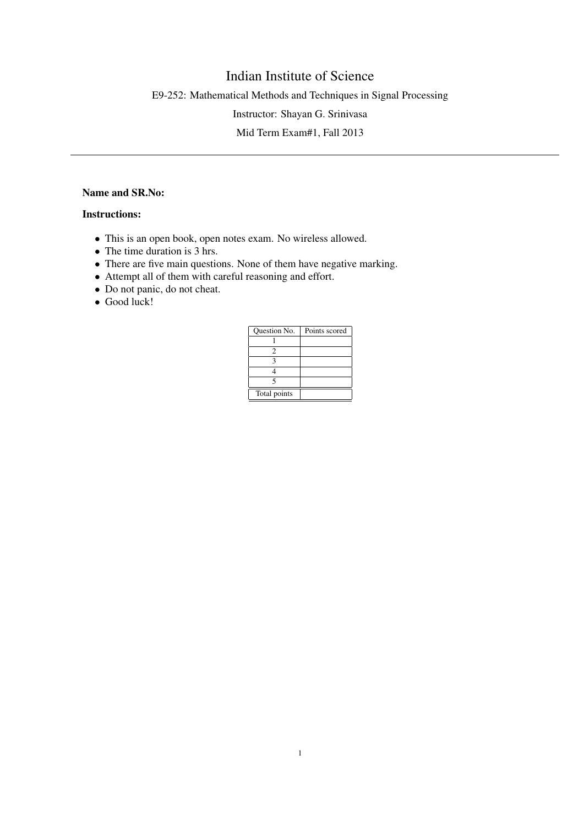## Indian Institute of Science

E9-252: Mathematical Methods and Techniques in Signal Processing

Instructor: Shayan G. Srinivasa

Mid Term Exam#1, Fall 2013

## Name and SR.No:

## Instructions:

- This is an open book, open notes exam. No wireless allowed.
- The time duration is 3 hrs.
- There are five main questions. None of them have negative marking.
- Attempt all of them with careful reasoning and effort.
- Do not panic, do not cheat.
- Good luck!

| Question No. | Points scored |
|--------------|---------------|
|              |               |
|              |               |
|              |               |
|              |               |
|              |               |
| Total points |               |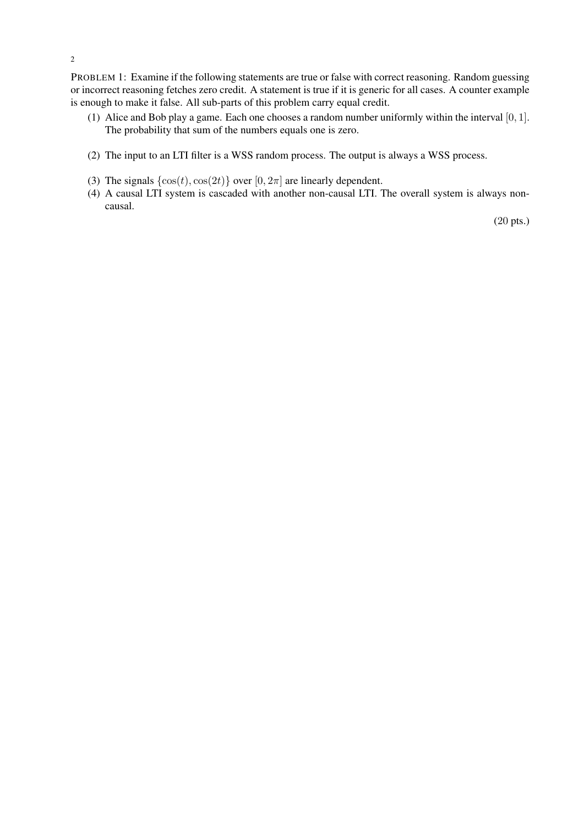PROBLEM 1: Examine if the following statements are true or false with correct reasoning. Random guessing or incorrect reasoning fetches zero credit. A statement is true if it is generic for all cases. A counter example is enough to make it false. All sub-parts of this problem carry equal credit.

- (1) Alice and Bob play a game. Each one chooses a random number uniformly within the interval [0, 1]. The probability that sum of the numbers equals one is zero.
- (2) The input to an LTI filter is a WSS random process. The output is always a WSS process.
- (3) The signals  $\{\cos(t), \cos(2t)\}\$  over  $[0, 2\pi]$  are linearly dependent.
- (4) A causal LTI system is cascaded with another non-causal LTI. The overall system is always noncausal.

(20 pts.)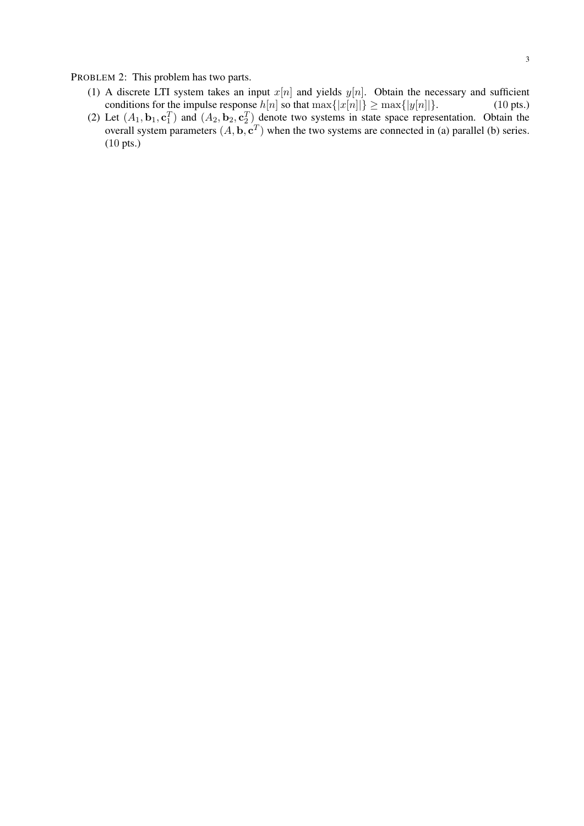PROBLEM 2: This problem has two parts.

- (1) A discrete LTI system takes an input  $x[n]$  and yields  $y[n]$ . Obtain the necessary and sufficient conditions for the impulse response  $h[n]$  so that  $\max\{|x[n]|\} \ge \max\{|y[n]|\}$ . (10 pts.)
- (2) Let  $(A_1, \mathbf{b}_1, \mathbf{c}_1^T)$  and  $(A_2, \mathbf{b}_2, \mathbf{c}_2^T)$  denote two systems in state space representation. Obtain the overall system parameters  $(A, \mathbf{b}, \mathbf{c}^T)$  when the two systems are connected in (a) parallel (b) series. (10 pts.)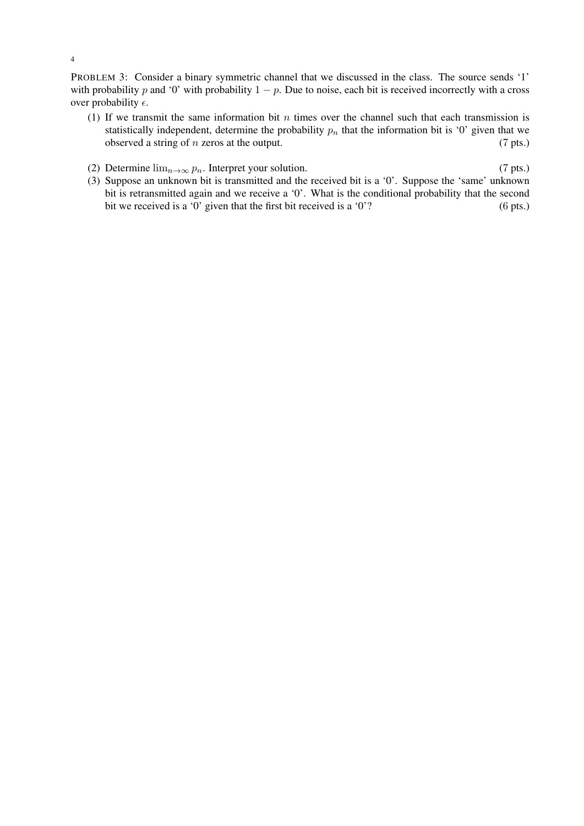PROBLEM 3: Consider a binary symmetric channel that we discussed in the class. The source sends '1' with probability p and '0' with probability  $1 - p$ . Due to noise, each bit is received incorrectly with a cross over probability  $\epsilon$ .

- (1) If we transmit the same information bit  $n$  times over the channel such that each transmission is statistically independent, determine the probability  $p_n$  that the information bit is '0' given that we observed a string of n zeros at the output. (7 pts.)
- (2) Determine  $\lim_{n\to\infty} p_n$ . Interpret your solution. (7 pts.)
- (3) Suppose an unknown bit is transmitted and the received bit is a '0'. Suppose the 'same' unknown bit is retransmitted again and we receive a '0'. What is the conditional probability that the second bit we received is a '0' given that the first bit received is a '0'? (6 pts.)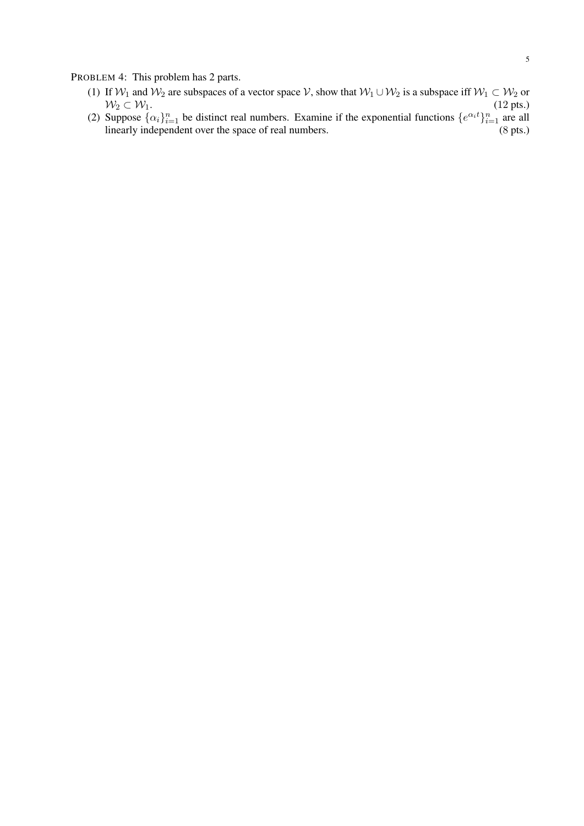PROBLEM 4: This problem has 2 parts.

- (1) If  $W_1$  and  $W_2$  are subspaces of a vector space  $V$ , show that  $W_1 \cup W_2$  is a subspace iff  $W_1 \subset W_2$  or  $W_2 \subset W_1$ . (12 pts.)
- (2) Suppose  $\{\alpha_i\}_{i=1}^n$  be distinct real numbers. Examine if the exponential functions  $\{e^{\alpha_i t}\}_{i=1}^n$  are all linearly independent over the space of real numbers. (8 pts.)